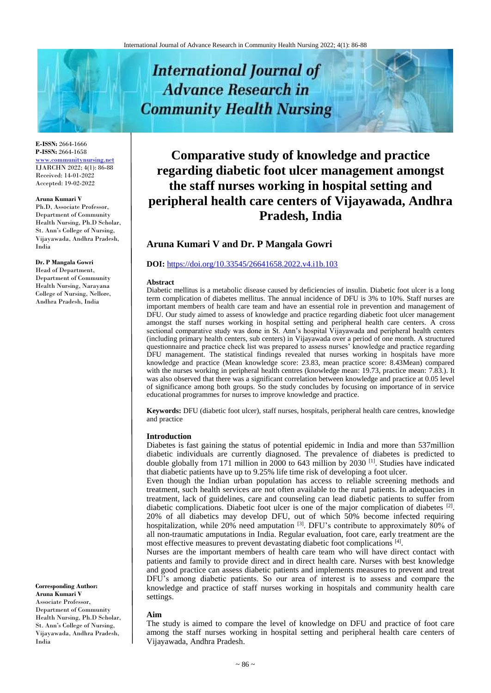# **International Journal of Advance Research in Community Health Nursing**

**E-ISSN:** 2664-1666 **P-ISSN:** 2664-1658 [www.communitynursing.net](http://www.communitynursing.net/) IJARCHN 2022; 4(1): 86-88 Received: 14-01-2022 Accepted: 19-02-2022

#### **Aruna Kumari V**

Ph.D, Associate Professor, Department of Community Health Nursing, Ph.D Scholar, St. Ann's College of Nursing, Vijayawada, Andhra Pradesh, India

#### **Dr. P Mangala Gowri**

Head of Department, Department of Community Health Nursing, Narayana College of Nursing, Nellore, Andhra Pradesh, India

**Corresponding Author: Aruna Kumari V** Associate Professor, Department of Community Health Nursing, Ph.D Scholar, St. Ann's College of Nursing, Vijayawada, Andhra Pradesh,

India

**Comparative study of knowledge and practice regarding diabetic foot ulcer management amongst the staff nurses working in hospital setting and peripheral health care centers of Vijayawada, Andhra Pradesh, India**

# **Aruna Kumari V and Dr. P Mangala Gowri**

#### **DOI:** <https://doi.org/10.33545/26641658.2022.v4.i1b.103>

#### **Abstract**

Diabetic mellitus is a metabolic disease caused by deficiencies of insulin. Diabetic foot ulcer is a long term complication of diabetes mellitus. The annual incidence of DFU is 3% to 10%. Staff nurses are important members of health care team and have an essential role in prevention and management of DFU. Our study aimed to assess of knowledge and practice regarding diabetic foot ulcer management amongst the staff nurses working in hospital setting and peripheral health care centers. A cross sectional comparative study was done in St. Ann's hospital Vijayawada and peripheral health centers (including primary health centers, sub centers) in Vijayawada over a period of one month. A structured questionnaire and practice check list was prepared to assess nurses' knowledge and practice regarding DFU management. The statistical findings revealed that nurses working in hospitals have more knowledge and practice (Mean knowledge score: 23.83, mean practice score: 8.43Mean) compared with the nurses working in peripheral health centres (knowledge mean: 19.73, practice mean: 7.83.). It was also observed that there was a significant correlation between knowledge and practice at 0.05 level of significance among both groups. So the study concludes by focusing on importance of in service educational programmes for nurses to improve knowledge and practice.

**Keywords:** DFU (diabetic foot ulcer), staff nurses, hospitals, peripheral health care centres, knowledge and practice

#### **Introduction**

Diabetes is fast gaining the status of potential epidemic in India and more than 537million diabetic individuals are currently diagnosed. The prevalence of diabetes is predicted to double globally from 171 million in 2000 to 643 million by 2030<sup>[1]</sup>. Studies have indicated that diabetic patients have up to 9.25% life time risk of developing a foot ulcer.

Even though the Indian urban population has access to reliable screening methods and treatment, such health services are not often available to the rural patients. In adequacies in treatment, lack of guidelines, care and counseling can lead diabetic patients to suffer from diabetic complications. Diabetic foot ulcer is one of the major complication of diabetes <sup>[2]</sup>. 20% of all diabetics may develop DFU, out of which 50% become infected requiring hospitalization, while 20% need amputation <sup>[3]</sup>. DFU's contribute to approximately 80% of all non-traumatic amputations in India. Regular evaluation, foot care, early treatment are the most effective measures to prevent devastating diabetic foot complications [4].

Nurses are the important members of health care team who will have direct contact with patients and family to provide direct and in direct health care. Nurses with best knowledge and good practice can assess diabetic patients and implements measures to prevent and treat DFU's among diabetic patients. So our area of interest is to assess and compare the knowledge and practice of staff nurses working in hospitals and community health care settings.

#### **Aim**

The study is aimed to compare the level of knowledge on DFU and practice of foot care among the staff nurses working in hospital setting and peripheral health care centers of Vijayawada, Andhra Pradesh.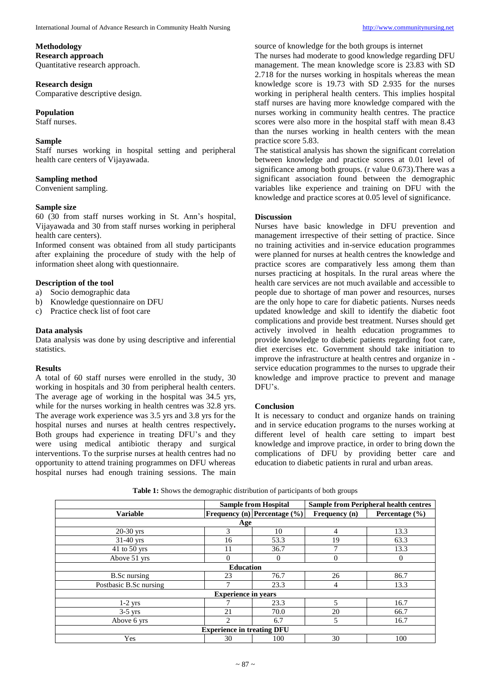## **Methodology Research approach**

Quantitative research approach.

# **Research design**

Comparative descriptive design.

# **Population**

Staff nurses.

# **Sample**

Staff nurses working in hospital setting and peripheral health care centers of Vijayawada.

# **Sampling method**

Convenient sampling.

# **Sample size**

60 (30 from staff nurses working in St. Ann's hospital, Vijayawada and 30 from staff nurses working in peripheral health care centers).

Informed consent was obtained from all study participants after explaining the procedure of study with the help of information sheet along with questionnaire.

# **Description of the tool**

- a) Socio demographic data
- b) Knowledge questionnaire on DFU
- c) Practice check list of foot care

## **Data analysis**

Data analysis was done by using descriptive and inferential statistics.

#### **Results**

A total of 60 staff nurses were enrolled in the study, 30 working in hospitals and 30 from peripheral health centers. The average age of working in the hospital was 34.5 yrs, while for the nurses working in health centres was 32.8 yrs. The average work experience was 3.5 yrs and 3.8 yrs for the hospital nurses and nurses at health centres respectively**.**  Both groups had experience in treating DFU's and they were using medical antibiotic therapy and surgical interventions. To the surprise nurses at health centres had no opportunity to attend training programmes on DFU whereas hospital nurses had enough training sessions. The main

source of knowledge for the both groups is internet The nurses had moderate to good knowledge regarding DFU management. The mean knowledge score is 23.83 with SD 2.718 for the nurses working in hospitals whereas the mean knowledge score is 19.73 with SD 2.935 for the nurses working in peripheral health centers. This implies hospital staff nurses are having more knowledge compared with the nurses working in community health centres. The practice scores were also more in the hospital staff with mean 8.43 than the nurses working in health centers with the mean practice score 5.83.

The statistical analysis has shown the significant correlation between knowledge and practice scores at 0.01 level of significance among both groups. (r value 0.673). There was a significant association found between the demographic variables like experience and training on DFU with the knowledge and practice scores at 0.05 level of significance.

#### **Discussion**

Nurses have basic knowledge in DFU prevention and management irrespective of their setting of practice. Since no training activities and in-service education programmes were planned for nurses at health centres the knowledge and practice scores are comparatively less among them than nurses practicing at hospitals. In the rural areas where the health care services are not much available and accessible to people due to shortage of man power and resources, nurses are the only hope to care for diabetic patients. Nurses needs updated knowledge and skill to identify the diabetic foot complications and provide best treatment. Nurses should get actively involved in health education programmes to provide knowledge to diabetic patients regarding foot care, diet exercises etc. Government should take initiation to improve the infrastructure at health centres and organize in service education programmes to the nurses to upgrade their knowledge and improve practice to prevent and manage DFU's.

# **Conclusion**

It is necessary to conduct and organize hands on training and in service education programs to the nurses working at different level of health care setting to impart best knowledge and improve practice, in order to bring down the complications of DFU by providing better care and education to diabetic patients in rural and urban areas.

|                                   |               | <b>Sample from Hospital</b>         | <b>Sample from Peripheral health centres</b> |                    |  |  |  |
|-----------------------------------|---------------|-------------------------------------|----------------------------------------------|--------------------|--|--|--|
| <b>Variable</b>                   |               | <b>Frequency (n) Percentage (%)</b> | Frequency (n)                                | Percentage $(\% )$ |  |  |  |
| Age                               |               |                                     |                                              |                    |  |  |  |
| $20-30$ yrs                       | 3             | 10                                  | 4                                            | 13.3               |  |  |  |
| $31-40$ yrs                       | 16            | 53.3                                | 19                                           | 63.3               |  |  |  |
| 41 to 50 yrs                      | 11            | 36.7                                |                                              | 13.3               |  |  |  |
| Above 51 yrs                      | $\Omega$      | $\Omega$                            | $\theta$                                     | $\theta$           |  |  |  |
| <b>Education</b>                  |               |                                     |                                              |                    |  |  |  |
| <b>B.Sc</b> nursing               | 23            | 76.7                                | 26                                           | 86.7               |  |  |  |
| Postbasic B.Sc nursing            |               | 23.3                                | 4                                            | 13.3               |  |  |  |
| <b>Experience in years</b>        |               |                                     |                                              |                    |  |  |  |
| $1-2$ yrs                         |               | 23.3                                | 5                                            | 16.7               |  |  |  |
| $3-5$ yrs                         | 21            | 70.0                                | 20                                           | 66.7               |  |  |  |
| Above 6 yrs                       | $\mathcal{D}$ | 6.7                                 | 5                                            | 16.7               |  |  |  |
| <b>Experience in treating DFU</b> |               |                                     |                                              |                    |  |  |  |
| Yes                               | 30            | 100                                 | 30                                           | 100                |  |  |  |

**Table 1:** Shows the demographic distribution of participants of both groups